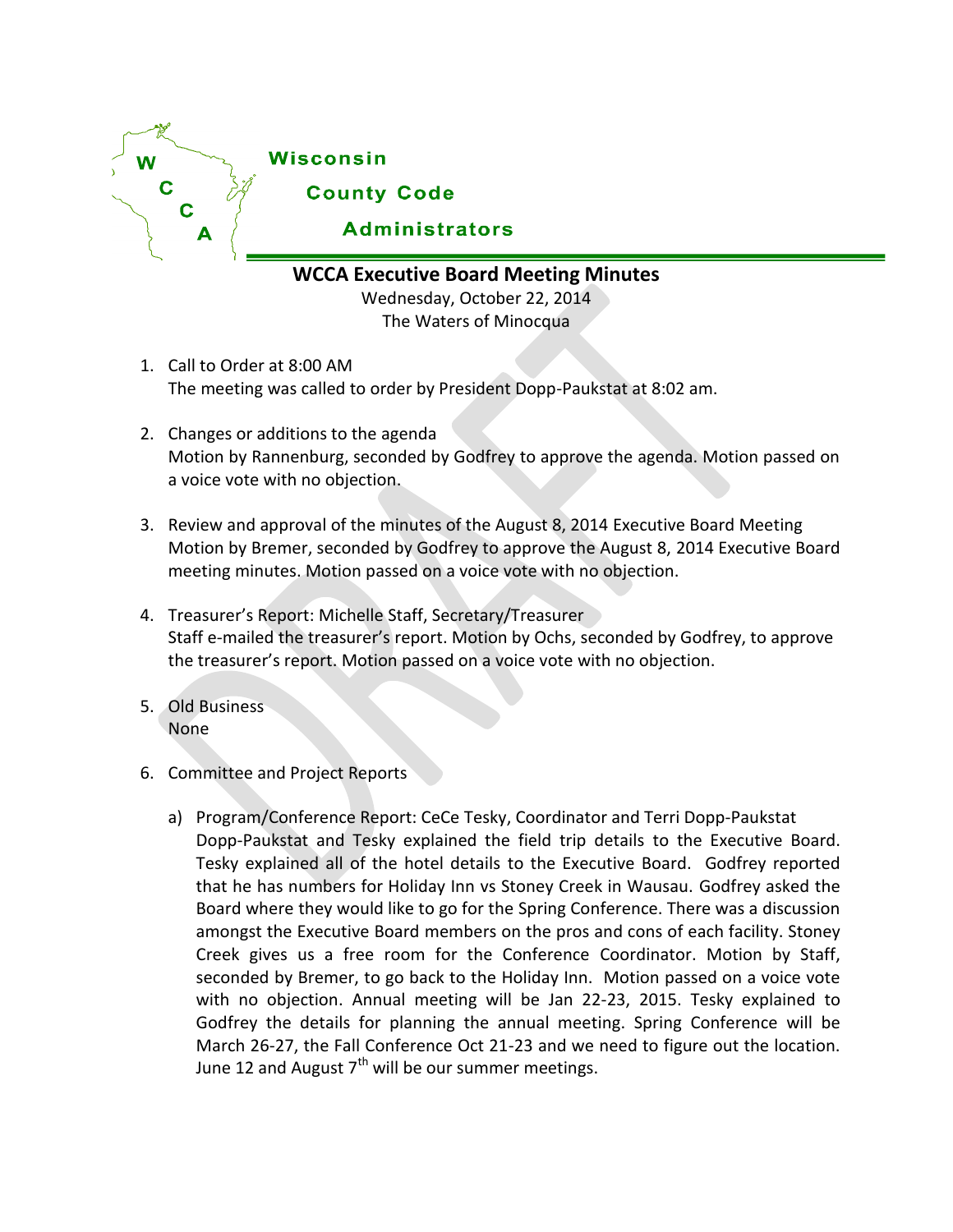

**WCCA Executive Board Meeting Minutes**

Wednesday, October 22, 2014 The Waters of Minocqua

- 1. Call to Order at 8:00 AM The meeting was called to order by President Dopp-Paukstat at 8:02 am.
- 2. Changes or additions to the agenda Motion by Rannenburg, seconded by Godfrey to approve the agenda. Motion passed on a voice vote with no objection.
- 3. Review and approval of the minutes of the August 8, 2014 Executive Board Meeting Motion by Bremer, seconded by Godfrey to approve the August 8, 2014 Executive Board meeting minutes. Motion passed on a voice vote with no objection.
- 4. Treasurer's Report: Michelle Staff, Secretary/Treasurer Staff e-mailed the treasurer's report. Motion by Ochs, seconded by Godfrey, to approve the treasurer's report. Motion passed on a voice vote with no objection.
- 5. Old Business None
- 6. Committee and Project Reports
	- a) Program/Conference Report: CeCe Tesky, Coordinator and Terri Dopp-Paukstat Dopp-Paukstat and Tesky explained the field trip details to the Executive Board. Tesky explained all of the hotel details to the Executive Board. Godfrey reported that he has numbers for Holiday Inn vs Stoney Creek in Wausau. Godfrey asked the Board where they would like to go for the Spring Conference. There was a discussion amongst the Executive Board members on the pros and cons of each facility. Stoney Creek gives us a free room for the Conference Coordinator. Motion by Staff, seconded by Bremer, to go back to the Holiday Inn. Motion passed on a voice vote with no objection. Annual meeting will be Jan 22-23, 2015. Tesky explained to Godfrey the details for planning the annual meeting. Spring Conference will be March 26-27, the Fall Conference Oct 21-23 and we need to figure out the location. June 12 and August  $7<sup>th</sup>$  will be our summer meetings.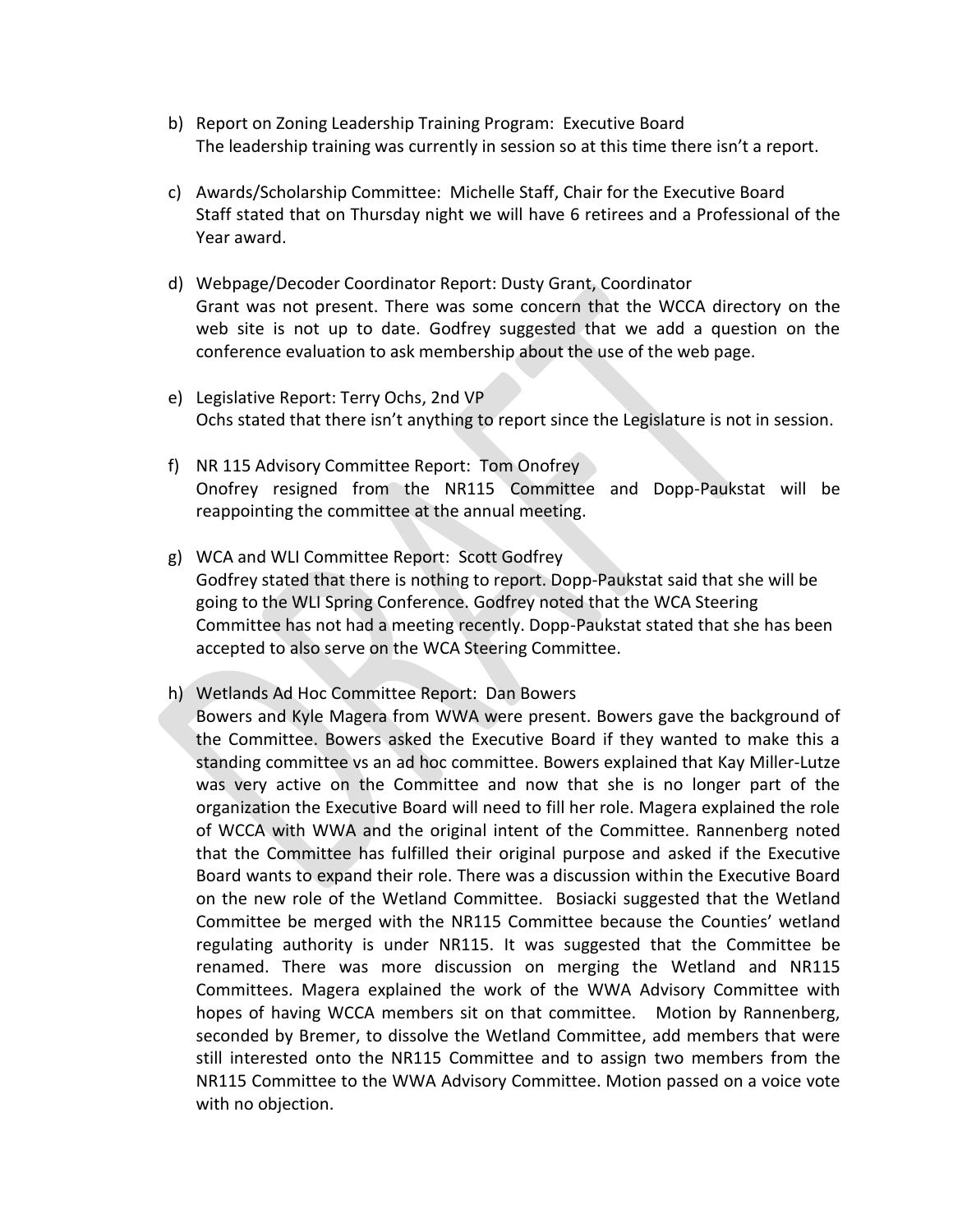- b) Report on Zoning Leadership Training Program: Executive Board The leadership training was currently in session so at this time there isn't a report.
- c) Awards/Scholarship Committee: Michelle Staff, Chair for the Executive Board Staff stated that on Thursday night we will have 6 retirees and a Professional of the Year award.
- d) Webpage/Decoder Coordinator Report: Dusty Grant, Coordinator Grant was not present. There was some concern that the WCCA directory on the web site is not up to date. Godfrey suggested that we add a question on the conference evaluation to ask membership about the use of the web page.
- e) Legislative Report: Terry Ochs, 2nd VP Ochs stated that there isn't anything to report since the Legislature is not in session.
- f) NR 115 Advisory Committee Report: Tom Onofrey Onofrey resigned from the NR115 Committee and Dopp-Paukstat will be reappointing the committee at the annual meeting.
- g) WCA and WLI Committee Report: Scott Godfrey Godfrey stated that there is nothing to report. Dopp-Paukstat said that she will be going to the WLI Spring Conference. Godfrey noted that the WCA Steering Committee has not had a meeting recently. Dopp-Paukstat stated that she has been accepted to also serve on the WCA Steering Committee.
- h) Wetlands Ad Hoc Committee Report: Dan Bowers
	- Bowers and Kyle Magera from WWA were present. Bowers gave the background of the Committee. Bowers asked the Executive Board if they wanted to make this a standing committee vs an ad hoc committee. Bowers explained that Kay Miller-Lutze was very active on the Committee and now that she is no longer part of the organization the Executive Board will need to fill her role. Magera explained the role of WCCA with WWA and the original intent of the Committee. Rannenberg noted that the Committee has fulfilled their original purpose and asked if the Executive Board wants to expand their role. There was a discussion within the Executive Board on the new role of the Wetland Committee. Bosiacki suggested that the Wetland Committee be merged with the NR115 Committee because the Counties' wetland regulating authority is under NR115. It was suggested that the Committee be renamed. There was more discussion on merging the Wetland and NR115 Committees. Magera explained the work of the WWA Advisory Committee with hopes of having WCCA members sit on that committee. Motion by Rannenberg, seconded by Bremer, to dissolve the Wetland Committee, add members that were still interested onto the NR115 Committee and to assign two members from the NR115 Committee to the WWA Advisory Committee. Motion passed on a voice vote with no objection.